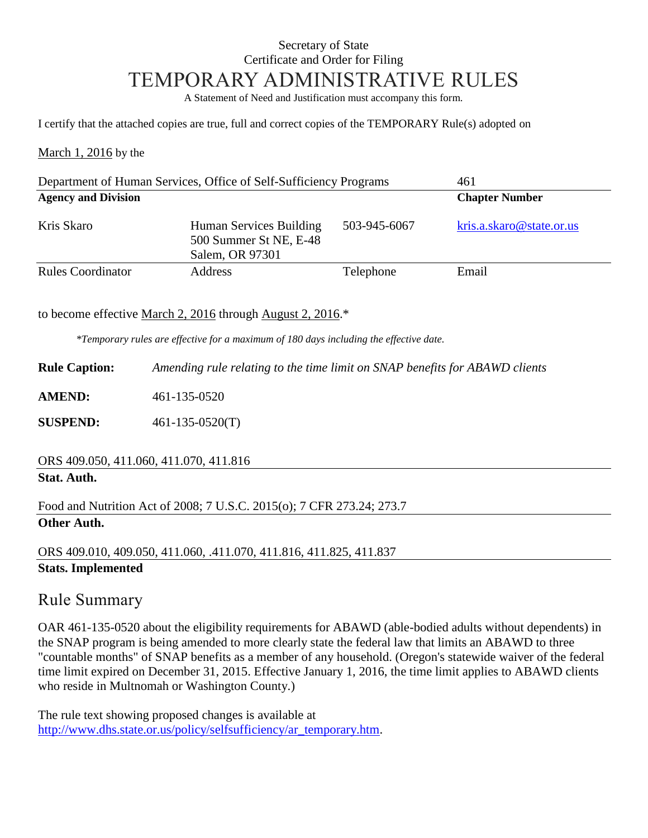### Secretary of State Certificate and Order for Filing TEMPORARY ADMINISTRATIVE RULES

A Statement of Need and Justification must accompany this form.

I certify that the attached copies are true, full and correct copies of the TEMPORARY Rule(s) adopted on

March 1, 2016 by the

| Department of Human Services, Office of Self-Sufficiency Programs |                                                                      |              | 461                      |
|-------------------------------------------------------------------|----------------------------------------------------------------------|--------------|--------------------------|
| <b>Agency and Division</b>                                        |                                                                      |              | <b>Chapter Number</b>    |
| Kris Skaro                                                        | Human Services Building<br>500 Summer St NE, E-48<br>Salem, OR 97301 | 503-945-6067 | kris.a.skaro@state.or.us |
| <b>Rules Coordinator</b>                                          | <b>Address</b>                                                       | Telephone    | Email                    |

to become effective March 2, 2016 through August 2, 2016.\*

*\*Temporary rules are effective for a maximum of 180 days including the effective date.*

**Rule Caption:** *Amending rule relating to the time limit on SNAP benefits for ABAWD clients*

**AMEND:** 461-135-0520

**SUSPEND:** 461-135-0520(T)

#### ORS 409.050, 411.060, 411.070, 411.816

#### **Stat. Auth.**

Food and Nutrition Act of 2008; 7 U.S.C. 2015(o); 7 CFR 273.24; 273.7

## **Other Auth.**

ORS 409.010, 409.050, 411.060, .411.070, 411.816, 411.825, 411.837 **Stats. Implemented**

# Rule Summary

OAR 461-135-0520 about the eligibility requirements for ABAWD (able-bodied adults without dependents) in the SNAP program is being amended to more clearly state the federal law that limits an ABAWD to three "countable months" of SNAP benefits as a member of any household. (Oregon's statewide waiver of the federal time limit expired on December 31, 2015. Effective January 1, 2016, the time limit applies to ABAWD clients who reside in Multnomah or Washington County.)

The rule text showing proposed changes is available at http://www.dhs.state.or.us/policy/selfsufficiency/ar\_temporary.htm.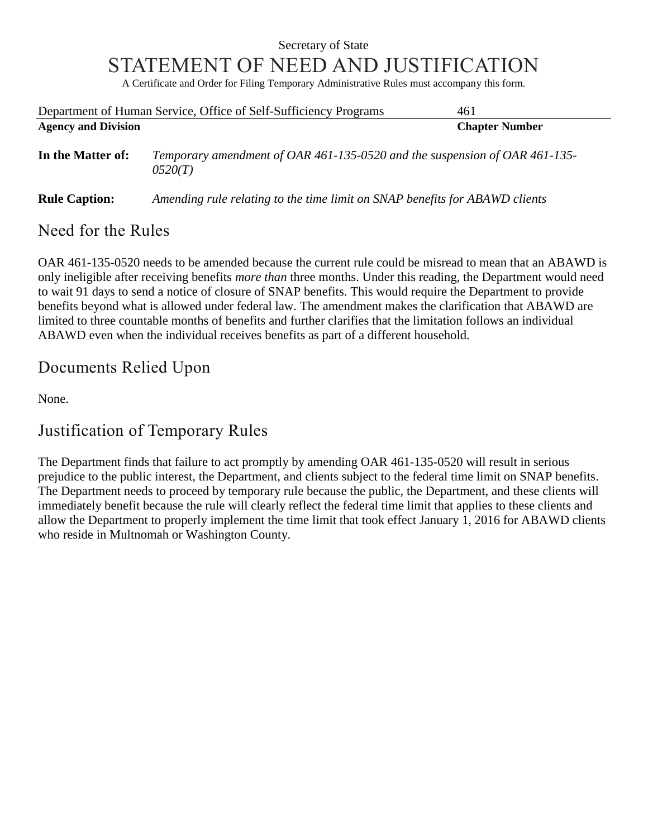## Secretary of State STATEMENT OF NEED AND JUSTIFICATION

A Certificate and Order for Filing Temporary Administrative Rules must accompany this form.

|                            | Department of Human Service, Office of Self-Sufficiency Programs                      | 461                   |  |
|----------------------------|---------------------------------------------------------------------------------------|-----------------------|--|
| <b>Agency and Division</b> |                                                                                       | <b>Chapter Number</b> |  |
| In the Matter of:          | Temporary amendment of OAR 461-135-0520 and the suspension of OAR 461-135-<br>0520(T) |                       |  |
| <b>Rule Caption:</b>       | Amending rule relating to the time limit on SNAP benefits for ABAWD clients           |                       |  |

### Need for the Rules

OAR 461-135-0520 needs to be amended because the current rule could be misread to mean that an ABAWD is only ineligible after receiving benefits *more than* three months. Under this reading, the Department would need to wait 91 days to send a notice of closure of SNAP benefits. This would require the Department to provide benefits beyond what is allowed under federal law. The amendment makes the clarification that ABAWD are limited to three countable months of benefits and further clarifies that the limitation follows an individual ABAWD even when the individual receives benefits as part of a different household.

# Documents Relied Upon

None.

# Justification of Temporary Rules

The Department finds that failure to act promptly by amending OAR 461-135-0520 will result in serious prejudice to the public interest, the Department, and clients subject to the federal time limit on SNAP benefits. The Department needs to proceed by temporary rule because the public, the Department, and these clients will immediately benefit because the rule will clearly reflect the federal time limit that applies to these clients and allow the Department to properly implement the time limit that took effect January 1, 2016 for ABAWD clients who reside in Multnomah or Washington County.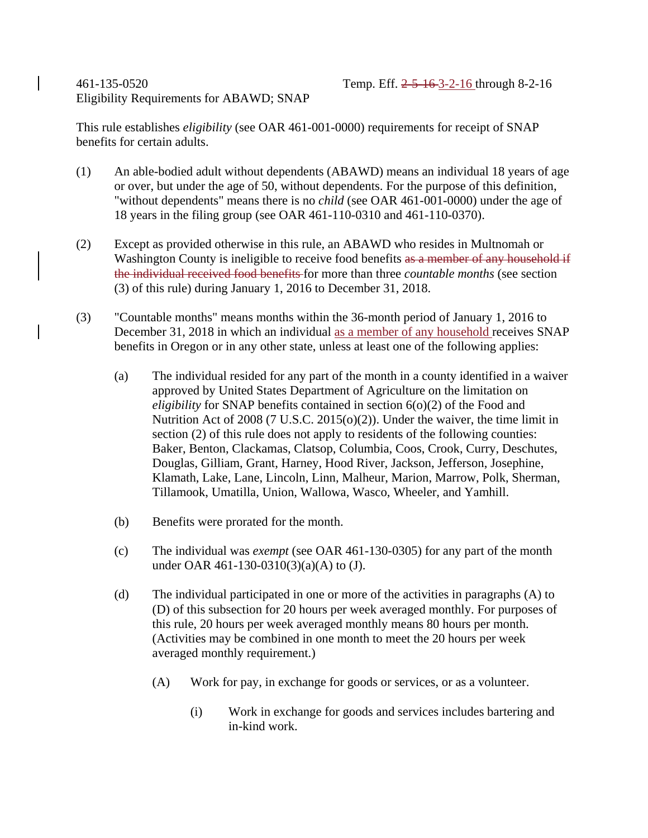#### 461-135-0520 Temp. Eff. 2-5-16-3-2-16 through 8-2-16 Eligibility Requirements for ABAWD; SNAP

This rule establishes *eligibility* (see OAR 461-001-0000) requirements for receipt of SNAP benefits for certain adults.

- (1) An able-bodied adult without dependents (ABAWD) means an individual 18 years of age or over, but under the age of 50, without dependents. For the purpose of this definition, "without dependents" means there is no *child* (see OAR 461-001-0000) under the age of 18 years in the filing group (see OAR 461-110-0310 and 461-110-0370).
- (2) Except as provided otherwise in this rule, an ABAWD who resides in Multnomah or Washington County is ineligible to receive food benefits as a member of any household if the individual received food benefits for more than three *countable months* (see section (3) of this rule) during January 1, 2016 to December 31, 2018.
- (3) "Countable months" means months within the 36-month period of January 1, 2016 to December 31, 2018 in which an individual as a member of any household receives SNAP benefits in Oregon or in any other state, unless at least one of the following applies:
	- (a) The individual resided for any part of the month in a county identified in a waiver approved by United States Department of Agriculture on the limitation on *eligibility* for SNAP benefits contained in section 6(o)(2) of the Food and Nutrition Act of 2008 (7 U.S.C. 2015(o)(2)). Under the waiver, the time limit in section (2) of this rule does not apply to residents of the following counties: Baker, Benton, Clackamas, Clatsop, Columbia, Coos, Crook, Curry, Deschutes, Douglas, Gilliam, Grant, Harney, Hood River, Jackson, Jefferson, Josephine, Klamath, Lake, Lane, Lincoln, Linn, Malheur, Marion, Marrow, Polk, Sherman, Tillamook, Umatilla, Union, Wallowa, Wasco, Wheeler, and Yamhill.
	- (b) Benefits were prorated for the month.
	- (c) The individual was *exempt* (see OAR 461-130-0305) for any part of the month under OAR 461-130-0310(3)(a)(A) to (J).
	- (d) The individual participated in one or more of the activities in paragraphs (A) to (D) of this subsection for 20 hours per week averaged monthly. For purposes of this rule, 20 hours per week averaged monthly means 80 hours per month. (Activities may be combined in one month to meet the 20 hours per week averaged monthly requirement.)
		- (A) Work for pay, in exchange for goods or services, or as a volunteer.
			- (i) Work in exchange for goods and services includes bartering and in-kind work.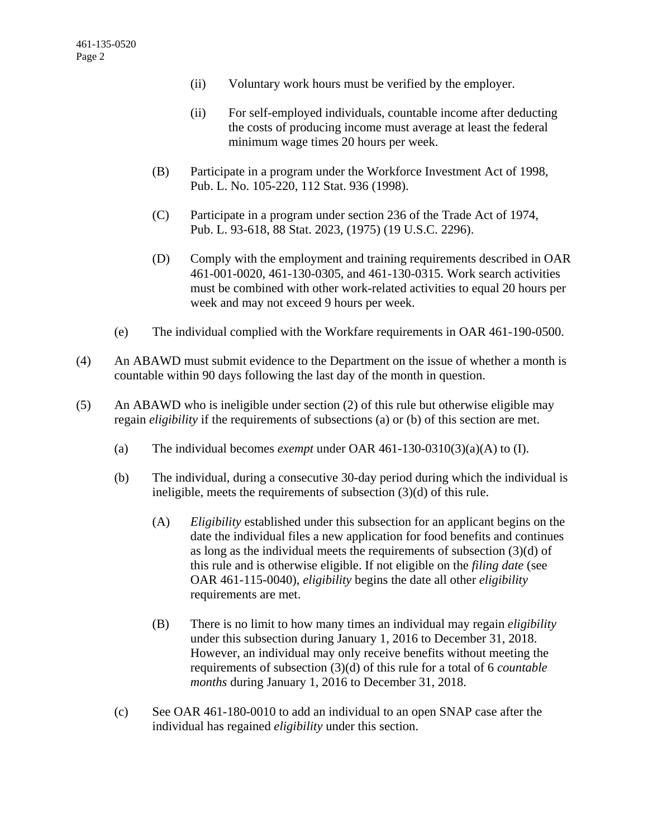- (ii) Voluntary work hours must be verified by the employer.
- (ii) For self-employed individuals, countable income after deducting the costs of producing income must average at least the federal minimum wage times 20 hours per week.
- (B) Participate in a program under the Workforce Investment Act of 1998, Pub. L. No. 105-220, 112 Stat. 936 (1998).
- (C) Participate in a program under section 236 of the Trade Act of 1974, Pub. L. 93-618, 88 Stat. 2023, (1975) (19 U.S.C. 2296).
- (D) Comply with the employment and training requirements described in OAR 461-001-0020, 461-130-0305, and 461-130-0315. Work search activities must be combined with other work-related activities to equal 20 hours per week and may not exceed 9 hours per week.
- (e) The individual complied with the Workfare requirements in OAR 461-190-0500.
- (4) An ABAWD must submit evidence to the Department on the issue of whether a month is countable within 90 days following the last day of the month in question.
- (5) An ABAWD who is ineligible under section (2) of this rule but otherwise eligible may regain *eligibility* if the requirements of subsections (a) or (b) of this section are met.
	- (a) The individual becomes *exempt* under OAR 461-130-0310(3)(a)(A) to (I).
	- (b) The individual, during a consecutive 30-day period during which the individual is ineligible, meets the requirements of subsection (3)(d) of this rule.
		- (A) *Eligibility* established under this subsection for an applicant begins on the date the individual files a new application for food benefits and continues as long as the individual meets the requirements of subsection (3)(d) of this rule and is otherwise eligible. If not eligible on the *filing date* (see OAR 461-115-0040), *eligibility* begins the date all other *eligibility* requirements are met.
		- (B) There is no limit to how many times an individual may regain *eligibility* under this subsection during January 1, 2016 to December 31, 2018. However, an individual may only receive benefits without meeting the requirements of subsection (3)(d) of this rule for a total of 6 *countable months* during January 1, 2016 to December 31, 2018.
	- (c) See OAR 461-180-0010 to add an individual to an open SNAP case after the individual has regained *eligibility* under this section.